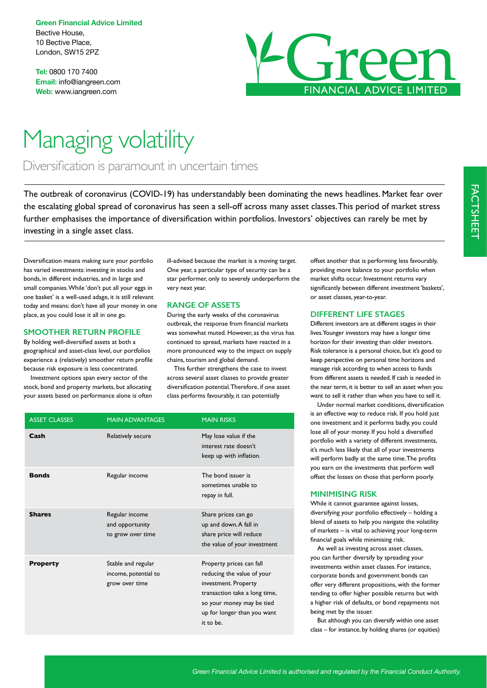**Green Financial Advice Limited** Bective House, 10 Bective Place, London, SW15 2PZ

**Tel:** 0800 170 7400 **Email:** info@iangreen.com **Web:** www.iangreen.com



# Managing volatility

Diversification is paramount in uncertain times

The outbreak of coronavirus (COVID-19) has understandably been dominating the news headlines. Market fear over the escalating global spread of coronavirus has seen a sell-off across many asset classes. This period of market stress further emphasises the importance of diversification within portfolios. Investors' objectives can rarely be met by investing in a single asset class.

Diversification means making sure your portfolio has varied investments: investing in stocks and bonds, in different industries, and in large and small companies. While 'don't put all your eggs in one basket' is a well-used adage, it is still relevant today and means: don't have all your money in one place, as you could lose it all in one go.

## **SMOOTHER RETURN PROFILE**

By holding well-diversified assets at both a geographical and asset-class level, our portfolios experience a (relatively) smoother return profile because risk exposure is less concentrated.

Investment options span every sector of the stock, bond and property markets, but allocating your assets based on performance alone is often ill-advised because the market is a moving target. One year, a particular type of security can be a star performer, only to severely underperform the very next year.

#### **RANGE OF ASSETS**

During the early weeks of the coronavirus outbreak, the response from financial markets was somewhat muted. However, as the virus has continued to spread, markets have reacted in a more pronounced way to the impact on supply chains, tourism and global demand.

This further strengthens the case to invest across several asset classes to provide greater diversification potential. Therefore, if one asset class performs favourably, it can potentially

| <b>ASSET CLASSES</b> | <b>MAIN ADVANTAGES</b>                                       | <b>MAIN RISKS</b>                                                                                                                                                                        |
|----------------------|--------------------------------------------------------------|------------------------------------------------------------------------------------------------------------------------------------------------------------------------------------------|
| Cash                 | Relatively secure                                            | May lose value if the<br>interest rate doesn't<br>keep up with inflation.                                                                                                                |
| <b>Bonds</b>         | Regular income                                               | The bond issuer is<br>sometimes unable to<br>repay in full.                                                                                                                              |
| <b>Shares</b>        | Regular income<br>and opportunity<br>to grow over time       | Share prices can go<br>up and down. A fall in<br>share price will reduce<br>the value of your investment                                                                                 |
| <b>Property</b>      | Stable and regular<br>income, potential to<br>grow over time | Property prices can fall<br>reducing the value of your<br>investment. Property<br>transaction take a long time,<br>so your money may be tied<br>up for longer than you want<br>it to be. |

offset another that is performing less favourably, providing more balance to your portfolio when market shifts occur. Investment returns vary significantly between different investment 'baskets', or asset classes, year-to-year.

#### **DIFFERENT LIFE STAGES**

Different investors are at different stages in their lives. Younger investors may have a longer time horizon for their investing than older investors. Risk tolerance is a personal choice, but it's good to keep perspective on personal time horizons and manage risk according to when access to funds from different assets is needed. If cash is needed in the near term, it is better to sell an asset when you want to sell it rather than when you have to sell it.

Under normal market conditions, diversification is an effective way to reduce risk. If you hold just one investment and it performs badly, you could lose all of your money. If you hold a diversified portfolio with a variety of different investments, it's much less likely that all of your investments will perform badly at the same time. The profits you earn on the investments that perform well offset the losses on those that perform poorly.

#### **MINIMISING RISK**

While it cannot guarantee against losses, diversifying your portfolio effectively – holding a blend of assets to help you navigate the volatility of markets – is vital to achieving your long-term financial goals while minimising risk.

As well as investing across asset classes, you can further diversify by spreading your investments within asset classes. For instance, corporate bonds and government bonds can offer very different propositions, with the former tending to offer higher possible returns but with a higher risk of defaults, or bond repayments not being met by the issuer.

But although you can diversify within one asset class – for instance, by holding shares (or equities)